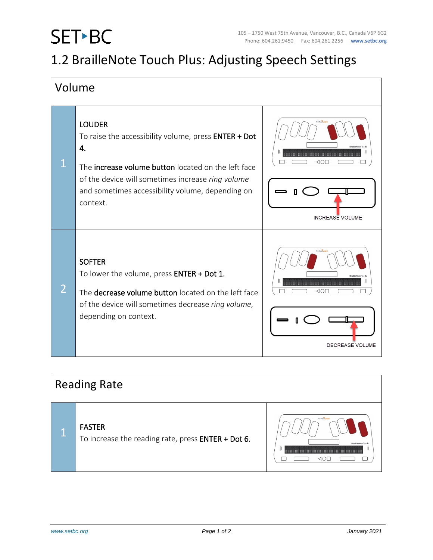## SET-BC

## 1.2 BrailleNote Touch Plus: Adjusting Speech Settings

| Volume         |                                                                                                                                                                                                                                                         |                                             |  |
|----------------|---------------------------------------------------------------------------------------------------------------------------------------------------------------------------------------------------------------------------------------------------------|---------------------------------------------|--|
| $\mathbf 1$    | <b>LOUDER</b><br>To raise the accessibility volume, press ENTER + Dot<br>4.<br>The increase volume button located on the left face<br>of the device will sometimes increase ring volume<br>and sometimes accessibility volume, depending on<br>context. | Humani<br><br>⊲∩г<br><b>INCREASE VOLUME</b> |  |
| $\overline{2}$ | <b>SOFTER</b><br>To lower the volume, press ENTER + Dot 1.<br>The decrease volume button located on the left face<br>of the device will sometimes decrease ring volume,<br>depending on context.                                                        | ⊲∩г<br><b>DECREASE VOLUME</b>               |  |

| <b>Reading Rate</b> |                                                                     |           |  |
|---------------------|---------------------------------------------------------------------|-----------|--|
|                     | <b>FASTER</b><br>To increase the reading rate, press ENTER + Dot 6. | Humanware |  |